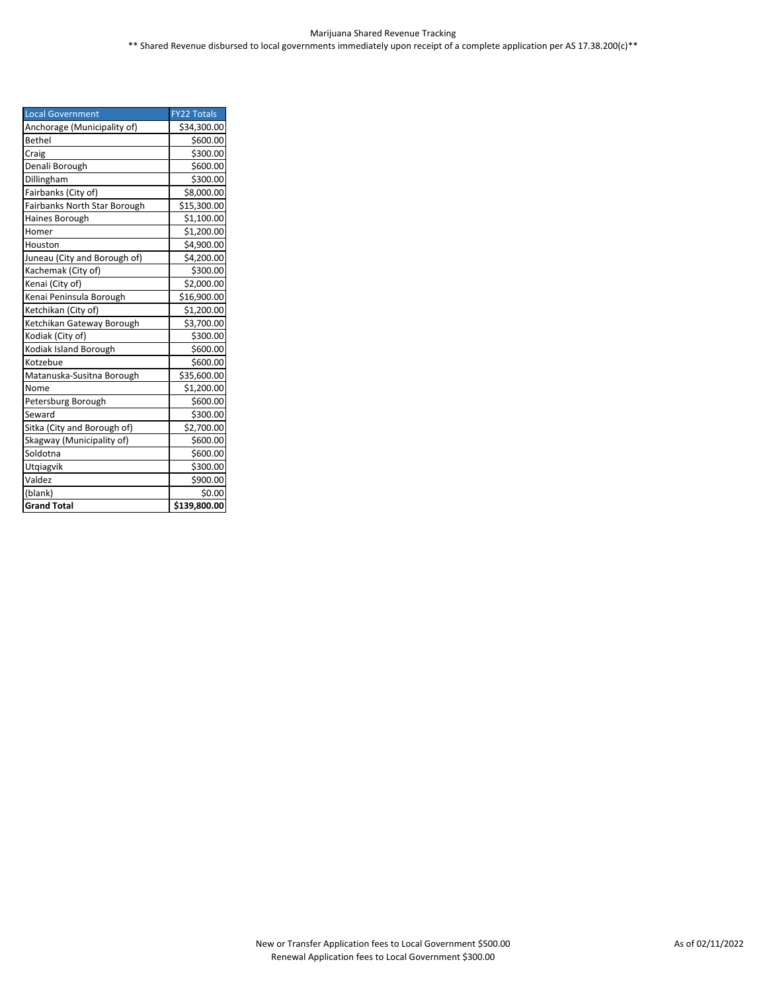| <b>Local Government</b>      | <b>FY22 Totals</b> |
|------------------------------|--------------------|
| Anchorage (Municipality of)  | \$34,300.00        |
| <b>Bethel</b>                | \$600.00           |
| Craig                        | \$300.00           |
| Denali Borough               | \$600.00           |
| Dillingham                   | \$300.00           |
| Fairbanks (City of)          | \$8,000.00         |
| Fairbanks North Star Borough | \$15,300.00        |
| Haines Borough               | \$1,100.00         |
| Homer                        | \$1,200.00         |
| Houston                      | \$4,900.00         |
| Juneau (City and Borough of) | \$4,200.00         |
| Kachemak (City of)           | \$300.00           |
| Kenai (City of)              | \$2,000.00         |
| Kenai Peninsula Borough      | \$16,900.00        |
| Ketchikan (City of)          | \$1,200.00         |
| Ketchikan Gateway Borough    | \$3,700.00         |
| Kodiak (City of)             | \$300.00           |
| Kodiak Island Borough        | \$600.00           |
| Kotzebue                     | \$600.00           |
| Matanuska-Susitna Borough    | \$35,600.00        |
| Nome                         | \$1,200.00         |
| Petersburg Borough           | \$600.00           |
| Seward                       | \$300.00           |
| Sitka (City and Borough of)  | \$2,700.00         |
| Skagway (Municipality of)    | \$600.00           |
| Soldotna                     | \$600.00           |
| Utqiagvik                    | \$300.00           |
| Valdez                       | \$900.00           |
| (blank)                      | \$0.00             |
| <b>Grand Total</b>           | \$139,800.00       |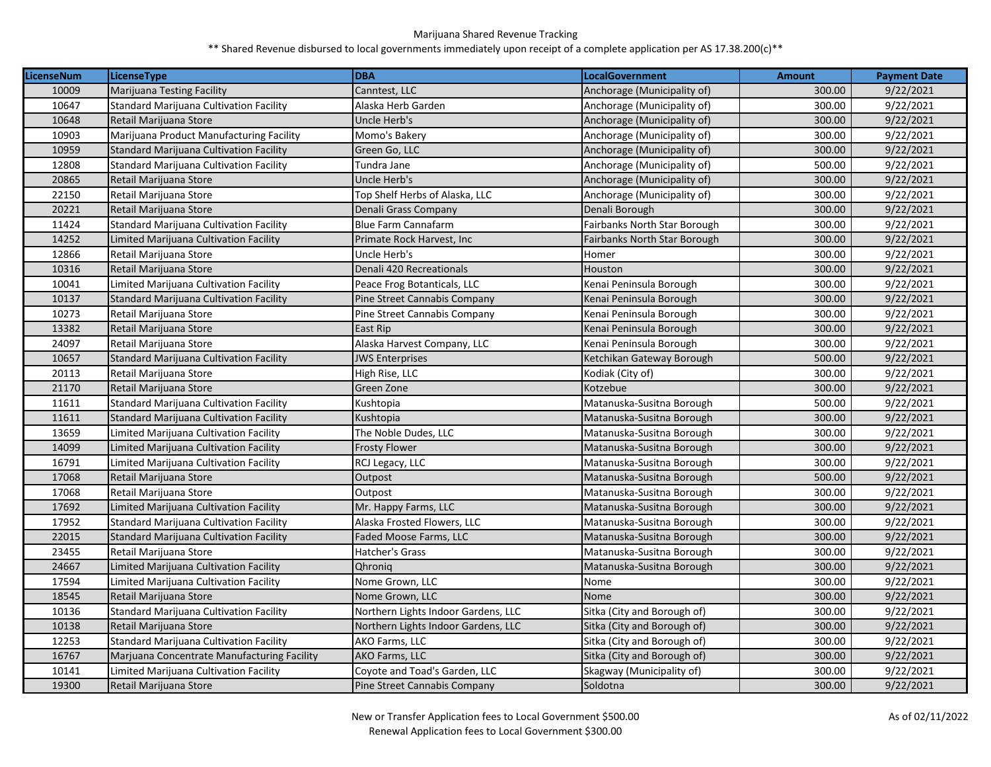| <b>LicenseNum</b> | <b>LicenseType</b>                             | <b>DBA</b>                          | <b>LocalGovernment</b>              | <b>Amount</b> | <b>Payment Date</b> |
|-------------------|------------------------------------------------|-------------------------------------|-------------------------------------|---------------|---------------------|
| 10009             | <b>Marijuana Testing Facility</b>              | Canntest, LLC                       | Anchorage (Municipality of)         | 300.00        | 9/22/2021           |
| 10647             | <b>Standard Marijuana Cultivation Facility</b> | Alaska Herb Garden                  | Anchorage (Municipality of)         | 300.00        | 9/22/2021           |
| 10648             | Retail Marijuana Store                         | Uncle Herb's                        | Anchorage (Municipality of)         | 300.00        | 9/22/2021           |
| 10903             | Marijuana Product Manufacturing Facility       | Momo's Bakery                       | Anchorage (Municipality of)         | 300.00        | 9/22/2021           |
| 10959             | Standard Marijuana Cultivation Facility        | Green Go, LLC                       | Anchorage (Municipality of)         | 300.00        | 9/22/2021           |
| 12808             | Standard Marijuana Cultivation Facility        | Tundra Jane                         | Anchorage (Municipality of)         | 500.00        | 9/22/2021           |
| 20865             | Retail Marijuana Store                         | Uncle Herb's                        | Anchorage (Municipality of)         | 300.00        | 9/22/2021           |
| 22150             | Retail Marijuana Store                         | Top Shelf Herbs of Alaska, LLC      | Anchorage (Municipality of)         | 300.00        | 9/22/2021           |
| 20221             | Retail Marijuana Store                         | Denali Grass Company                | Denali Borough                      | 300.00        | 9/22/2021           |
| 11424             | <b>Standard Marijuana Cultivation Facility</b> | <b>Blue Farm Cannafarm</b>          | Fairbanks North Star Borough        | 300.00        | 9/22/2021           |
| 14252             | Limited Marijuana Cultivation Facility         | Primate Rock Harvest, Inc           | <b>Fairbanks North Star Borough</b> | 300.00        | 9/22/2021           |
| 12866             | Retail Marijuana Store                         | Uncle Herb's                        | Homer                               | 300.00        | 9/22/2021           |
| 10316             | Retail Marijuana Store                         | Denali 420 Recreationals            | Houston                             | 300.00        | 9/22/2021           |
| 10041             | Limited Marijuana Cultivation Facility         | Peace Frog Botanticals, LLC         | Kenai Peninsula Borough             | 300.00        | 9/22/2021           |
| 10137             | <b>Standard Marijuana Cultivation Facility</b> | Pine Street Cannabis Company        | Kenai Peninsula Borough             | 300.00        | 9/22/2021           |
| 10273             | Retail Marijuana Store                         | Pine Street Cannabis Company        | Kenai Peninsula Borough             | 300.00        | 9/22/2021           |
| 13382             | Retail Marijuana Store                         | East Rip                            | Kenai Peninsula Borough             | 300.00        | 9/22/2021           |
| 24097             | Retail Marijuana Store                         | Alaska Harvest Company, LLC         | Kenai Peninsula Borough             | 300.00        | 9/22/2021           |
| 10657             | <b>Standard Marijuana Cultivation Facility</b> | <b>JWS Enterprises</b>              | Ketchikan Gateway Borough           | 500.00        | 9/22/2021           |
| 20113             | Retail Marijuana Store                         | High Rise, LLC                      | Kodiak (City of)                    | 300.00        | 9/22/2021           |
| 21170             | Retail Marijuana Store                         | Green Zone                          | Kotzebue                            | 300.00        | 9/22/2021           |
| 11611             | <b>Standard Marijuana Cultivation Facility</b> | Kushtopia                           | Matanuska-Susitna Borough           | 500.00        | 9/22/2021           |
| 11611             | <b>Standard Marijuana Cultivation Facility</b> | Kushtopia                           | Matanuska-Susitna Borough           | 300.00        | 9/22/2021           |
| 13659             | Limited Marijuana Cultivation Facility         | The Noble Dudes, LLC                | Matanuska-Susitna Borough           | 300.00        | 9/22/2021           |
| 14099             | Limited Marijuana Cultivation Facility         | <b>Frosty Flower</b>                | Matanuska-Susitna Borough           | 300.00        | 9/22/2021           |
| 16791             | Limited Marijuana Cultivation Facility         | RCJ Legacy, LLC                     | Matanuska-Susitna Borough           | 300.00        | 9/22/2021           |
| 17068             | Retail Marijuana Store                         | Outpost                             | Matanuska-Susitna Borough           | 500.00        | 9/22/2021           |
| 17068             | Retail Marijuana Store                         | Outpost                             | Matanuska-Susitna Borough           | 300.00        | 9/22/2021           |
| 17692             | Limited Marijuana Cultivation Facility         | Mr. Happy Farms, LLC                | Matanuska-Susitna Borough           | 300.00        | 9/22/2021           |
| 17952             | <b>Standard Marijuana Cultivation Facility</b> | Alaska Frosted Flowers, LLC         | Matanuska-Susitna Borough           | 300.00        | 9/22/2021           |
| 22015             | <b>Standard Marijuana Cultivation Facility</b> | Faded Moose Farms, LLC              | Matanuska-Susitna Borough           | 300.00        | 9/22/2021           |
| 23455             | Retail Marijuana Store                         | Hatcher's Grass                     | Matanuska-Susitna Borough           | 300.00        | 9/22/2021           |
| 24667             | Limited Marijuana Cultivation Facility         | Qhronia                             | Matanuska-Susitna Borough           | 300.00        | 9/22/2021           |
| 17594             | Limited Marijuana Cultivation Facility         | Nome Grown, LLC                     | Nome                                | 300.00        | 9/22/2021           |
| 18545             | Retail Marijuana Store                         | Nome Grown, LLC                     | Nome                                | 300.00        | 9/22/2021           |
| 10136             | <b>Standard Marijuana Cultivation Facility</b> | Northern Lights Indoor Gardens, LLC | Sitka (City and Borough of)         | 300.00        | 9/22/2021           |
| 10138             | Retail Marijuana Store                         | Northern Lights Indoor Gardens, LLC | Sitka (City and Borough of)         | 300.00        | 9/22/2021           |
| 12253             | <b>Standard Marijuana Cultivation Facility</b> | AKO Farms, LLC                      | Sitka (City and Borough of)         | 300.00        | 9/22/2021           |
| 16767             | Marjuana Concentrate Manufacturing Facility    | AKO Farms, LLC                      | Sitka (City and Borough of)         | 300.00        | 9/22/2021           |
| 10141             | Limited Marijuana Cultivation Facility         | Coyote and Toad's Garden, LLC       | Skagway (Municipality of)           | 300.00        | 9/22/2021           |
| 19300             | Retail Marijuana Store                         | Pine Street Cannabis Company        | Soldotna                            | 300.00        | 9/22/2021           |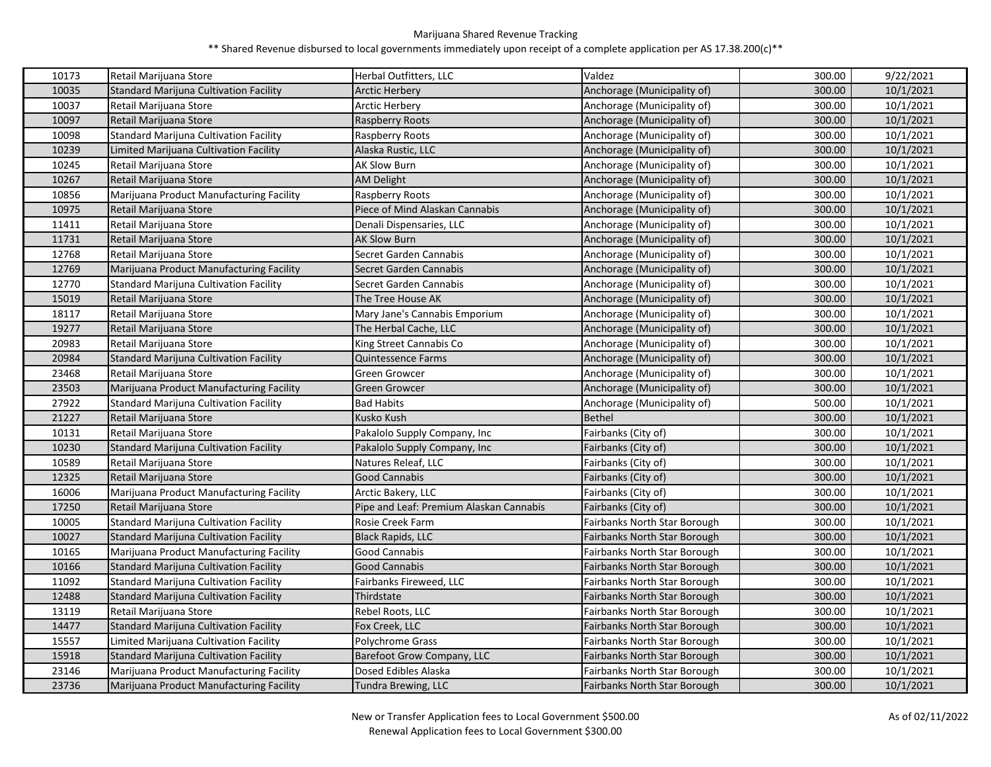| 10173 | Retail Marijuana Store                        | Herbal Outfitters, LLC                  | Valdez                              | 300.00 | 9/22/2021 |
|-------|-----------------------------------------------|-----------------------------------------|-------------------------------------|--------|-----------|
| 10035 | Standard Marijuna Cultivation Facility        | <b>Arctic Herbery</b>                   | Anchorage (Municipality of)         | 300.00 | 10/1/2021 |
| 10037 | Retail Marijuana Store                        | <b>Arctic Herbery</b>                   | Anchorage (Municipality of)         | 300.00 | 10/1/2021 |
| 10097 | Retail Marijuana Store                        | Raspberry Roots                         | Anchorage (Municipality of)         | 300.00 | 10/1/2021 |
| 10098 | <b>Standard Marijuna Cultivation Facility</b> | Raspberry Roots                         | Anchorage (Municipality of)         | 300.00 | 10/1/2021 |
| 10239 | Limited Marijuana Cultivation Facility        | Alaska Rustic, LLC                      | Anchorage (Municipality of)         | 300.00 | 10/1/2021 |
| 10245 | Retail Marijuana Store                        | <b>AK Slow Burn</b>                     | Anchorage (Municipality of)         | 300.00 | 10/1/2021 |
| 10267 | Retail Marijuana Store                        | <b>AM Delight</b>                       | Anchorage (Municipality of)         | 300.00 | 10/1/2021 |
| 10856 | Marijuana Product Manufacturing Facility      | Raspberry Roots                         | Anchorage (Municipality of)         | 300.00 | 10/1/2021 |
| 10975 | Retail Marijuana Store                        | Piece of Mind Alaskan Cannabis          | Anchorage (Municipality of)         | 300.00 | 10/1/2021 |
| 11411 | Retail Marijuana Store                        | Denali Dispensaries, LLC                | Anchorage (Municipality of)         | 300.00 | 10/1/2021 |
| 11731 | Retail Marijuana Store                        | <b>AK Slow Burn</b>                     | Anchorage (Municipality of)         | 300.00 | 10/1/2021 |
| 12768 | Retail Marijuana Store                        | Secret Garden Cannabis                  | Anchorage (Municipality of)         | 300.00 | 10/1/2021 |
| 12769 | Marijuana Product Manufacturing Facility      | Secret Garden Cannabis                  | Anchorage (Municipality of)         | 300.00 | 10/1/2021 |
| 12770 | Standard Marijuna Cultivation Facility        | Secret Garden Cannabis                  | Anchorage (Municipality of)         | 300.00 | 10/1/2021 |
| 15019 | Retail Marijuana Store                        | The Tree House AK                       | Anchorage (Municipality of)         | 300.00 | 10/1/2021 |
| 18117 | Retail Marijuana Store                        | Mary Jane's Cannabis Emporium           | Anchorage (Municipality of)         | 300.00 | 10/1/2021 |
| 19277 | Retail Marijuana Store                        | The Herbal Cache, LLC                   | Anchorage (Municipality of)         | 300.00 | 10/1/2021 |
| 20983 | Retail Marijuana Store                        | King Street Cannabis Co                 | Anchorage (Municipality of)         | 300.00 | 10/1/2021 |
| 20984 | <b>Standard Marijuna Cultivation Facility</b> | Quintessence Farms                      | Anchorage (Municipality of)         | 300.00 | 10/1/2021 |
| 23468 | Retail Marijuana Store                        | Green Growcer                           | Anchorage (Municipality of)         | 300.00 | 10/1/2021 |
| 23503 | Marijuana Product Manufacturing Facility      | Green Growcer                           | Anchorage (Municipality of)         | 300.00 | 10/1/2021 |
| 27922 | Standard Marijuna Cultivation Facility        | <b>Bad Habits</b>                       | Anchorage (Municipality of)         | 500.00 | 10/1/2021 |
| 21227 | Retail Marijuana Store                        | Kusko Kush                              | <b>Bethel</b>                       | 300.00 | 10/1/2021 |
| 10131 | Retail Marijuana Store                        | Pakalolo Supply Company, Inc            | Fairbanks (City of)                 | 300.00 | 10/1/2021 |
| 10230 | <b>Standard Marijuna Cultivation Facility</b> | Pakalolo Supply Company, Inc            | Fairbanks (City of)                 | 300.00 | 10/1/2021 |
| 10589 | Retail Marijuana Store                        | Natures Releaf, LLC                     | Fairbanks (City of)                 | 300.00 | 10/1/2021 |
| 12325 | Retail Marijuana Store                        | <b>Good Cannabis</b>                    | Fairbanks (City of)                 | 300.00 | 10/1/2021 |
| 16006 | Marijuana Product Manufacturing Facility      | Arctic Bakery, LLC                      | Fairbanks (City of)                 | 300.00 | 10/1/2021 |
| 17250 | Retail Marijuana Store                        | Pipe and Leaf: Premium Alaskan Cannabis | Fairbanks (City of)                 | 300.00 | 10/1/2021 |
| 10005 | Standard Marijuna Cultivation Facility        | Rosie Creek Farm                        | Fairbanks North Star Borough        | 300.00 | 10/1/2021 |
| 10027 | Standard Marijuna Cultivation Facility        | Black Rapids, LLC                       | Fairbanks North Star Borough        | 300.00 | 10/1/2021 |
| 10165 | Marijuana Product Manufacturing Facility      | Good Cannabis                           | Fairbanks North Star Borough        | 300.00 | 10/1/2021 |
| 10166 | Standard Marijuna Cultivation Facility        | Good Cannabis                           | Fairbanks North Star Borough        | 300.00 | 10/1/2021 |
| 11092 | Standard Marijuna Cultivation Facility        | Fairbanks Fireweed, LLC                 | Fairbanks North Star Borough        | 300.00 | 10/1/2021 |
| 12488 | Standard Marijuna Cultivation Facility        | Thirdstate                              | Fairbanks North Star Borough        | 300.00 | 10/1/2021 |
| 13119 | Retail Marijuana Store                        | Rebel Roots, LLC                        | Fairbanks North Star Borough        | 300.00 | 10/1/2021 |
| 14477 | Standard Marijuna Cultivation Facility        | Fox Creek, LLC                          | <b>Fairbanks North Star Borough</b> | 300.00 | 10/1/2021 |
| 15557 | Limited Marijuana Cultivation Facility        | <b>Polychrome Grass</b>                 | Fairbanks North Star Borough        | 300.00 | 10/1/2021 |
| 15918 | <b>Standard Marijuna Cultivation Facility</b> | Barefoot Grow Company, LLC              | Fairbanks North Star Borough        | 300.00 | 10/1/2021 |
| 23146 | Marijuana Product Manufacturing Facility      | Dosed Edibles Alaska                    | Fairbanks North Star Borough        | 300.00 | 10/1/2021 |
| 23736 | Marijuana Product Manufacturing Facility      | Tundra Brewing, LLC                     | <b>Fairbanks North Star Borough</b> | 300.00 | 10/1/2021 |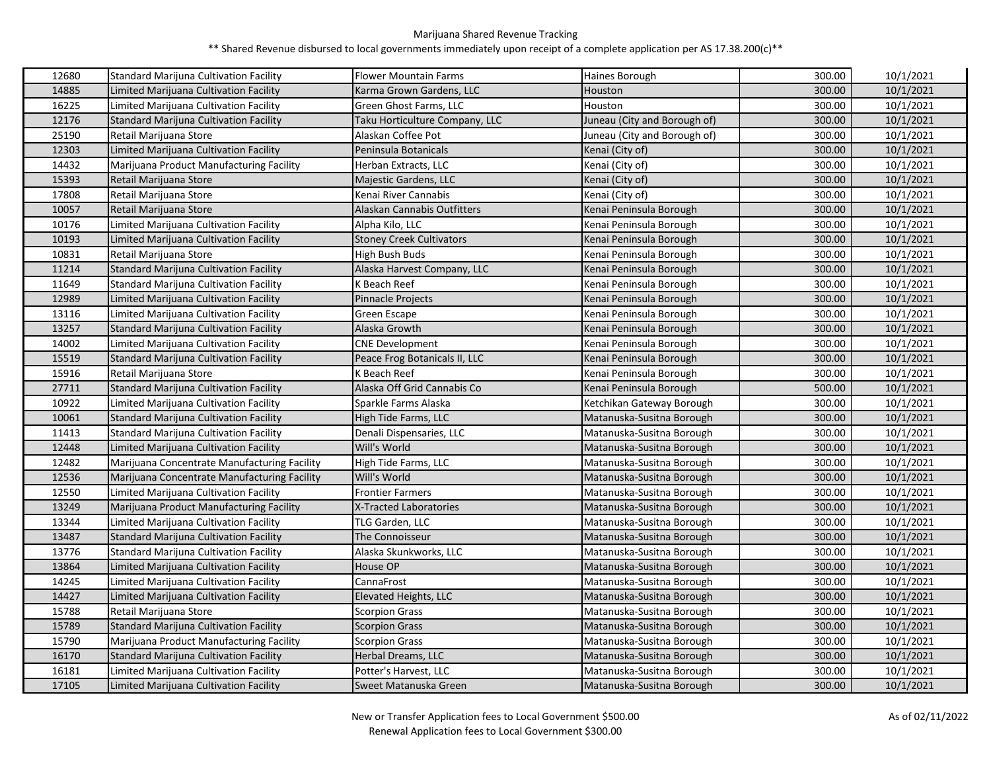| 12680 | <b>Standard Marijuna Cultivation Facility</b> | <b>Flower Mountain Farms</b>    | Haines Borough               | 300.00 | 10/1/2021 |
|-------|-----------------------------------------------|---------------------------------|------------------------------|--------|-----------|
| 14885 | Limited Marijuana Cultivation Facility        | Karma Grown Gardens, LLC        | Houston                      | 300.00 | 10/1/2021 |
| 16225 | Limited Marijuana Cultivation Facility        | Green Ghost Farms, LLC          | Houston                      | 300.00 | 10/1/2021 |
| 12176 | <b>Standard Marijuna Cultivation Facility</b> | Taku Horticulture Company, LLC  | Juneau (City and Borough of) | 300.00 | 10/1/2021 |
| 25190 | Retail Marijuana Store                        | Alaskan Coffee Pot              | Juneau (City and Borough of) | 300.00 | 10/1/2021 |
| 12303 | Limited Marijuana Cultivation Facility        | Peninsula Botanicals            | Kenai (City of)              | 300.00 | 10/1/2021 |
| 14432 | Marijuana Product Manufacturing Facility      | Herban Extracts, LLC            | Kenai (City of)              | 300.00 | 10/1/2021 |
| 15393 | Retail Marijuana Store                        | Majestic Gardens, LLC           | Kenai (City of)              | 300.00 | 10/1/2021 |
| 17808 | Retail Marijuana Store                        | Kenai River Cannabis            | Kenai (City of)              | 300.00 | 10/1/2021 |
| 10057 | Retail Marijuana Store                        | Alaskan Cannabis Outfitters     | Kenai Peninsula Borough      | 300.00 | 10/1/2021 |
| 10176 | Limited Marijuana Cultivation Facility        | Alpha Kilo, LLC                 | Kenai Peninsula Borough      | 300.00 | 10/1/2021 |
| 10193 | Limited Marijuana Cultivation Facility        | <b>Stoney Creek Cultivators</b> | Kenai Peninsula Borough      | 300.00 | 10/1/2021 |
| 10831 | Retail Marijuana Store                        | High Bush Buds                  | Kenai Peninsula Borough      | 300.00 | 10/1/2021 |
| 11214 | Standard Marijuna Cultivation Facility        | Alaska Harvest Company, LLC     | Kenai Peninsula Borough      | 300.00 | 10/1/2021 |
| 11649 | Standard Marijuna Cultivation Facility        | K Beach Reef                    | Kenai Peninsula Borough      | 300.00 | 10/1/2021 |
| 12989 | Limited Marijuana Cultivation Facility        | <b>Pinnacle Projects</b>        | Kenai Peninsula Borough      | 300.00 | 10/1/2021 |
| 13116 | Limited Marijuana Cultivation Facility        | Green Escape                    | Kenai Peninsula Borough      | 300.00 | 10/1/2021 |
| 13257 | <b>Standard Marijuna Cultivation Facility</b> | Alaska Growth                   | Kenai Peninsula Borough      | 300.00 | 10/1/2021 |
| 14002 | Limited Marijuana Cultivation Facility        | <b>CNE Development</b>          | Kenai Peninsula Borough      | 300.00 | 10/1/2021 |
| 15519 | Standard Marijuna Cultivation Facility        | Peace Frog Botanicals II, LLC   | Kenai Peninsula Borough      | 300.00 | 10/1/2021 |
| 15916 | Retail Marijuana Store                        | K Beach Reef                    | Kenai Peninsula Borough      | 300.00 | 10/1/2021 |
| 27711 | <b>Standard Marijuna Cultivation Facility</b> | Alaska Off Grid Cannabis Co     | Kenai Peninsula Borough      | 500.00 | 10/1/2021 |
| 10922 | Limited Marijuana Cultivation Facility        | Sparkle Farms Alaska            | Ketchikan Gateway Borough    | 300.00 | 10/1/2021 |
| 10061 | <b>Standard Marijuna Cultivation Facility</b> | High Tide Farms, LLC            | Matanuska-Susitna Borough    | 300.00 | 10/1/2021 |
| 11413 | <b>Standard Marijuna Cultivation Facility</b> | Denali Dispensaries, LLC        | Matanuska-Susitna Borough    | 300.00 | 10/1/2021 |
| 12448 | Limited Marijuana Cultivation Facility        | Will's World                    | Matanuska-Susitna Borough    | 300.00 | 10/1/2021 |
| 12482 | Marijuana Concentrate Manufacturing Facility  | High Tide Farms, LLC            | Matanuska-Susitna Borough    | 300.00 | 10/1/2021 |
| 12536 | Marijuana Concentrate Manufacturing Facility  | Will's World                    | Matanuska-Susitna Borough    | 300.00 | 10/1/2021 |
| 12550 | Limited Marijuana Cultivation Facility        | <b>Frontier Farmers</b>         | Matanuska-Susitna Borough    | 300.00 | 10/1/2021 |
| 13249 | Marijuana Product Manufacturing Facility      | X-Tracted Laboratories          | Matanuska-Susitna Borough    | 300.00 | 10/1/2021 |
| 13344 | Limited Marijuana Cultivation Facility        | TLG Garden, LLC                 | Matanuska-Susitna Borough    | 300.00 | 10/1/2021 |
| 13487 | <b>Standard Marijuna Cultivation Facility</b> | The Connoisseur                 | Matanuska-Susitna Borough    | 300.00 | 10/1/2021 |
| 13776 | <b>Standard Marijuna Cultivation Facility</b> | Alaska Skunkworks, LLC          | Matanuska-Susitna Borough    | 300.00 | 10/1/2021 |
| 13864 | Limited Marijuana Cultivation Facility        | House OP                        | Matanuska-Susitna Borough    | 300.00 | 10/1/2021 |
| 14245 | Limited Marijuana Cultivation Facility        | CannaFrost                      | Matanuska-Susitna Borough    | 300.00 | 10/1/2021 |
| 14427 | Limited Marijuana Cultivation Facility        | Elevated Heights, LLC           | Matanuska-Susitna Borough    | 300.00 | 10/1/2021 |
| 15788 | Retail Marijuana Store                        | Scorpion Grass                  | Matanuska-Susitna Borough    | 300.00 | 10/1/2021 |
| 15789 | Standard Marijuna Cultivation Facility        | <b>Scorpion Grass</b>           | Matanuska-Susitna Borough    | 300.00 | 10/1/2021 |
| 15790 | Marijuana Product Manufacturing Facility      | <b>Scorpion Grass</b>           | Matanuska-Susitna Borough    | 300.00 | 10/1/2021 |
| 16170 | <b>Standard Marijuna Cultivation Facility</b> | Herbal Dreams, LLC              | Matanuska-Susitna Borough    | 300.00 | 10/1/2021 |
| 16181 | Limited Marijuana Cultivation Facility        | Potter's Harvest, LLC           | Matanuska-Susitna Borough    | 300.00 | 10/1/2021 |
| 17105 | Limited Marijuana Cultivation Facility        | Sweet Matanuska Green           | Matanuska-Susitna Borough    | 300.00 | 10/1/2021 |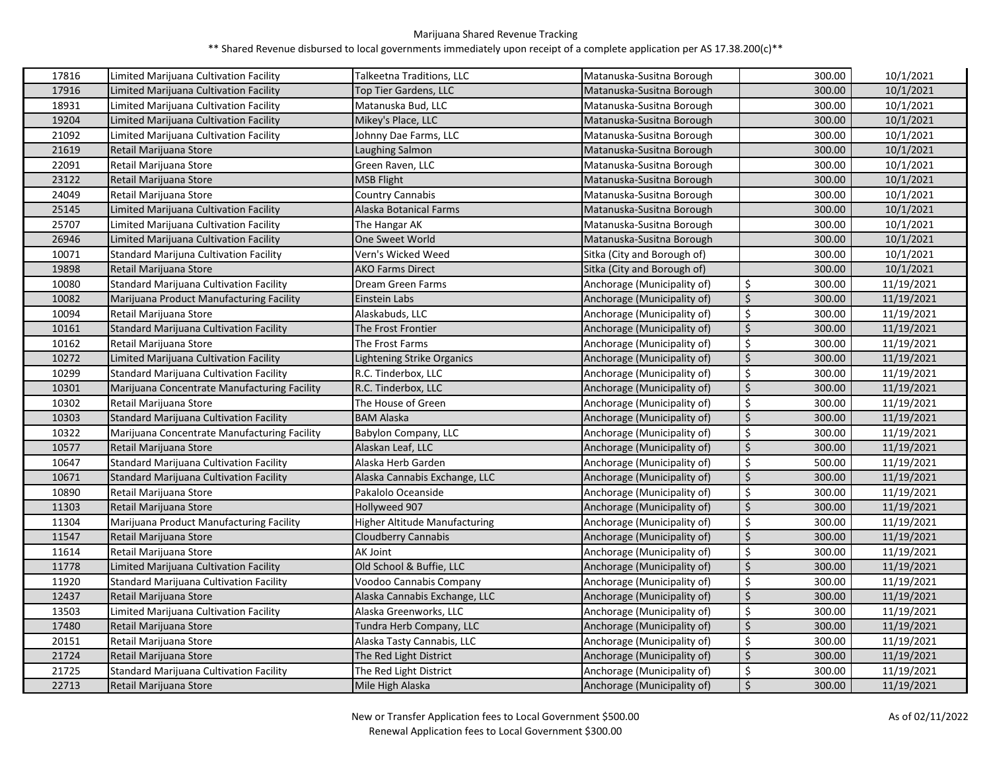| 17816 | Limited Marijuana Cultivation Facility         | Talkeetna Traditions, LLC            | Matanuska-Susitna Borough   | 300.00       | 10/1/2021  |
|-------|------------------------------------------------|--------------------------------------|-----------------------------|--------------|------------|
| 17916 | Limited Marijuana Cultivation Facility         | <b>Top Tier Gardens, LLC</b>         | Matanuska-Susitna Borough   | 300.00       | 10/1/2021  |
| 18931 | Limited Marijuana Cultivation Facility         | Matanuska Bud, LLC                   | Matanuska-Susitna Borough   | 300.00       | 10/1/2021  |
| 19204 | Limited Marijuana Cultivation Facility         | Mikey's Place, LLC                   | Matanuska-Susitna Borough   | 300.00       | 10/1/2021  |
| 21092 | Limited Marijuana Cultivation Facility         | Johnny Dae Farms, LLC                | Matanuska-Susitna Borough   | 300.00       | 10/1/2021  |
| 21619 | Retail Marijuana Store                         | Laughing Salmon                      | Matanuska-Susitna Borough   | 300.00       | 10/1/2021  |
| 22091 | Retail Marijuana Store                         | Green Raven, LLC                     | Matanuska-Susitna Borough   | 300.00       | 10/1/2021  |
| 23122 | Retail Marijuana Store                         | <b>MSB Flight</b>                    | Matanuska-Susitna Borough   | 300.00       | 10/1/2021  |
| 24049 | Retail Marijuana Store                         | Country Cannabis                     | Matanuska-Susitna Borough   | 300.00       | 10/1/2021  |
| 25145 | Limited Marijuana Cultivation Facility         | Alaska Botanical Farms               | Matanuska-Susitna Borough   | 300.00       | 10/1/2021  |
| 25707 | Limited Marijuana Cultivation Facility         | The Hangar AK                        | Matanuska-Susitna Borough   | 300.00       | 10/1/2021  |
| 26946 | Limited Marijuana Cultivation Facility         | One Sweet World                      | Matanuska-Susitna Borough   | 300.00       | 10/1/2021  |
| 10071 | Standard Marijuna Cultivation Facility         | Vern's Wicked Weed                   | Sitka (City and Borough of) | 300.00       | 10/1/2021  |
| 19898 | Retail Marijuana Store                         | AKO Farms Direct                     | Sitka (City and Borough of) | 300.00       | 10/1/2021  |
| 10080 | Standard Marijuana Cultivation Facility        | Dream Green Farms                    | Anchorage (Municipality of) | \$<br>300.00 | 11/19/2021 |
| 10082 | Marijuana Product Manufacturing Facility       | Einstein Labs                        | Anchorage (Municipality of) | Ś.<br>300.00 | 11/19/2021 |
| 10094 | Retail Marijuana Store                         | Alaskabuds, LLC                      | Anchorage (Municipality of) | \$<br>300.00 | 11/19/2021 |
| 10161 | <b>Standard Marijuana Cultivation Facility</b> | The Frost Frontier                   | Anchorage (Municipality of) | \$<br>300.00 | 11/19/2021 |
| 10162 | Retail Marijuana Store                         | The Frost Farms                      | Anchorage (Municipality of) | \$<br>300.00 | 11/19/2021 |
| 10272 | Limited Marijuana Cultivation Facility         | Lightening Strike Organics           | Anchorage (Municipality of) | \$<br>300.00 | 11/19/2021 |
| 10299 | <b>Standard Marijuana Cultivation Facility</b> | R.C. Tinderbox, LLC                  | Anchorage (Municipality of) | \$<br>300.00 | 11/19/2021 |
| 10301 | Marijuana Concentrate Manufacturing Facility   | R.C. Tinderbox, LLC                  | Anchorage (Municipality of) | \$<br>300.00 | 11/19/2021 |
| 10302 | Retail Marijuana Store                         | The House of Green                   | Anchorage (Municipality of) | \$<br>300.00 | 11/19/2021 |
| 10303 | <b>Standard Marijuana Cultivation Facility</b> | <b>BAM Alaska</b>                    | Anchorage (Municipality of) | \$<br>300.00 | 11/19/2021 |
| 10322 | Marijuana Concentrate Manufacturing Facility   | Babylon Company, LLC                 | Anchorage (Municipality of) | \$<br>300.00 | 11/19/2021 |
| 10577 | Retail Marijuana Store                         | Alaskan Leaf, LLC                    | Anchorage (Municipality of) | \$<br>300.00 | 11/19/2021 |
| 10647 | Standard Marijuana Cultivation Facility        | Alaska Herb Garden                   | Anchorage (Municipality of) | \$<br>500.00 | 11/19/2021 |
| 10671 | <b>Standard Marijuana Cultivation Facility</b> | Alaska Cannabis Exchange, LLC        | Anchorage (Municipality of) | \$<br>300.00 | 11/19/2021 |
| 10890 | Retail Marijuana Store                         | Pakalolo Oceanside                   | Anchorage (Municipality of) | \$<br>300.00 | 11/19/2021 |
| 11303 | Retail Marijuana Store                         | Hollyweed 907                        | Anchorage (Municipality of) | \$<br>300.00 | 11/19/2021 |
| 11304 | Marijuana Product Manufacturing Facility       | <b>Higher Altitude Manufacturing</b> | Anchorage (Municipality of) | \$<br>300.00 | 11/19/2021 |
| 11547 | Retail Marijuana Store                         | Cloudberry Cannabis                  | Anchorage (Municipality of) | \$<br>300.00 | 11/19/2021 |
| 11614 | Retail Marijuana Store                         | AK Joint                             | Anchorage (Municipality of) | \$<br>300.00 | 11/19/2021 |
| 11778 | Limited Marijuana Cultivation Facility         | Old School & Buffie, LLC             | Anchorage (Municipality of) | \$<br>300.00 | 11/19/2021 |
| 11920 | Standard Marijuana Cultivation Facility        | Voodoo Cannabis Company              | Anchorage (Municipality of) | \$<br>300.00 | 11/19/2021 |
| 12437 | Retail Marijuana Store                         | Alaska Cannabis Exchange, LLC        | Anchorage (Municipality of) | \$<br>300.00 | 11/19/2021 |
| 13503 | Limited Marijuana Cultivation Facility         | Alaska Greenworks, LLC               | Anchorage (Municipality of) | \$<br>300.00 | 11/19/2021 |
| 17480 | Retail Marijuana Store                         | Tundra Herb Company, LLC             | Anchorage (Municipality of) | \$<br>300.00 | 11/19/2021 |
| 20151 | Retail Marijuana Store                         | Alaska Tasty Cannabis, LLC           | Anchorage (Municipality of) | \$<br>300.00 | 11/19/2021 |
| 21724 | Retail Marijuana Store                         | The Red Light District               | Anchorage (Municipality of) | \$<br>300.00 | 11/19/2021 |
| 21725 | <b>Standard Marijuana Cultivation Facility</b> | The Red Light District               | Anchorage (Municipality of) | \$<br>300.00 | 11/19/2021 |
| 22713 | Retail Marijuana Store                         | Mile High Alaska                     | Anchorage (Municipality of) | \$<br>300.00 | 11/19/2021 |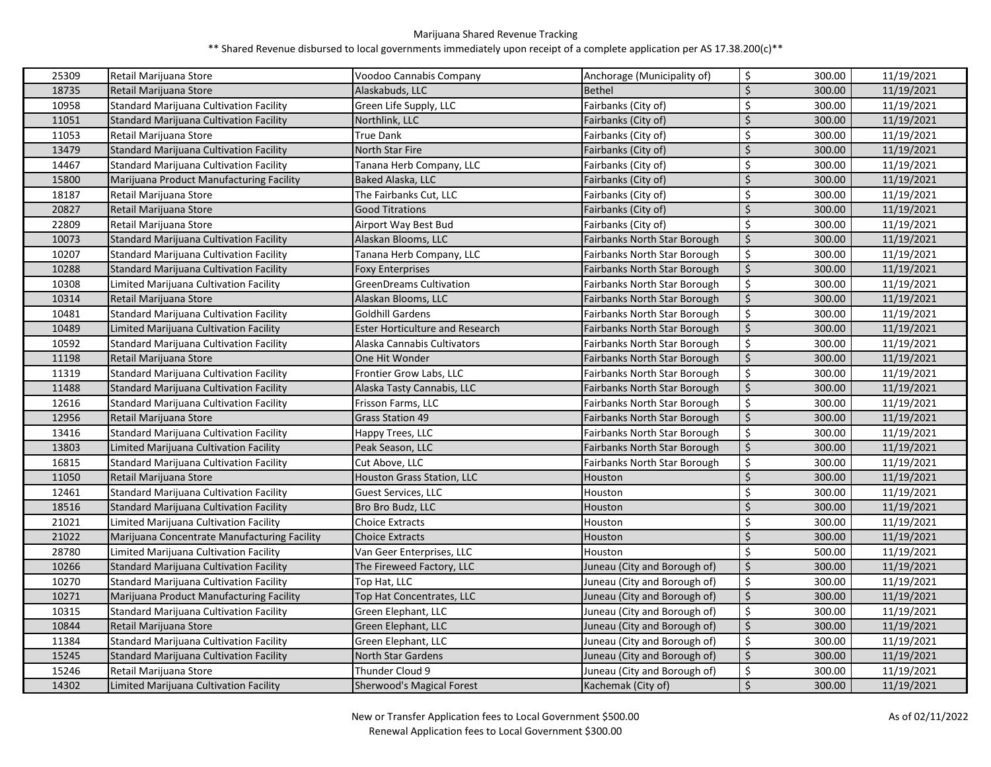| 25309 | Retail Marijuana Store                         | Voodoo Cannabis Company                | Anchorage (Municipality of)         | \$      | 300.00 | 11/19/2021 |
|-------|------------------------------------------------|----------------------------------------|-------------------------------------|---------|--------|------------|
| 18735 | Retail Marijuana Store                         | Alaskabuds, LLC                        | <b>Bethel</b>                       | Ś       | 300.00 | 11/19/2021 |
| 10958 | Standard Marijuana Cultivation Facility        | Green Life Supply, LLC                 | Fairbanks (City of)                 | \$      | 300.00 | 11/19/2021 |
| 11051 | <b>Standard Marijuana Cultivation Facility</b> | Northlink, LLC                         | Fairbanks (City of)                 | Ś       | 300.00 | 11/19/2021 |
| 11053 | Retail Marijuana Store                         | True Dank                              | Fairbanks (City of)                 | \$      | 300.00 | 11/19/2021 |
| 13479 | Standard Marijuana Cultivation Facility        | North Star Fire                        | Fairbanks (City of)                 | \$      | 300.00 | 11/19/2021 |
| 14467 | <b>Standard Marijuana Cultivation Facility</b> | Tanana Herb Company, LLC               | Fairbanks (City of)                 | \$      | 300.00 | 11/19/2021 |
| 15800 | Marijuana Product Manufacturing Facility       | <b>Baked Alaska, LLC</b>               | Fairbanks (City of)                 | Ś       | 300.00 | 11/19/2021 |
| 18187 | Retail Marijuana Store                         | The Fairbanks Cut, LLC                 | Fairbanks (City of)                 | \$      | 300.00 | 11/19/2021 |
| 20827 | Retail Marijuana Store                         | <b>Good Titrations</b>                 | Fairbanks (City of)                 | $\zeta$ | 300.00 | 11/19/2021 |
| 22809 | Retail Marijuana Store                         | Airport Way Best Bud                   | Fairbanks (City of)                 | \$      | 300.00 | 11/19/2021 |
| 10073 | <b>Standard Marijuana Cultivation Facility</b> | Alaskan Blooms, LLC                    | <b>Fairbanks North Star Borough</b> | \$      | 300.00 | 11/19/2021 |
| 10207 | <b>Standard Marijuana Cultivation Facility</b> | <b>Fanana Herb Company, LLC</b>        | Fairbanks North Star Borough        | \$      | 300.00 | 11/19/2021 |
| 10288 | Standard Marijuana Cultivation Facility        | <b>Foxy Enterprises</b>                | Fairbanks North Star Borough        | \$      | 300.00 | 11/19/2021 |
| 10308 | Limited Marijuana Cultivation Facility         | <b>GreenDreams Cultivation</b>         | Fairbanks North Star Borough        | \$      | 300.00 | 11/19/2021 |
| 10314 | Retail Marijuana Store                         | Alaskan Blooms, LLC                    | <b>Fairbanks North Star Borough</b> | \$      | 300.00 | 11/19/2021 |
| 10481 | Standard Marijuana Cultivation Facility        | Goldhill Gardens                       | Fairbanks North Star Borough        | \$      | 300.00 | 11/19/2021 |
| 10489 | Limited Marijuana Cultivation Facility         | <b>Ester Horticulture and Research</b> | Fairbanks North Star Borough        | $\zeta$ | 300.00 | 11/19/2021 |
| 10592 | Standard Marijuana Cultivation Facility        | Alaska Cannabis Cultivators            | Fairbanks North Star Borough        | \$      | 300.00 | 11/19/2021 |
| 11198 | Retail Marijuana Store                         | One Hit Wonder                         | <b>Fairbanks North Star Borough</b> | \$      | 300.00 | 11/19/2021 |
| 11319 | <b>Standard Marijuana Cultivation Facility</b> | Frontier Grow Labs, LLC                | Fairbanks North Star Borough        | $\zeta$ | 300.00 | 11/19/2021 |
| 11488 | <b>Standard Marijuana Cultivation Facility</b> | Alaska Tasty Cannabis, LLC             | <b>Fairbanks North Star Borough</b> | \$      | 300.00 | 11/19/2021 |
| 12616 | Standard Marijuana Cultivation Facility        | Frisson Farms, LLC                     | Fairbanks North Star Borough        | \$      | 300.00 | 11/19/2021 |
| 12956 | Retail Marijuana Store                         | <b>Grass Station 49</b>                | <b>Fairbanks North Star Borough</b> | \$      | 300.00 | 11/19/2021 |
| 13416 | <b>Standard Marijuana Cultivation Facility</b> | Happy Trees, LLC                       | Fairbanks North Star Borough        | \$      | 300.00 | 11/19/2021 |
| 13803 | Limited Marijuana Cultivation Facility         | Peak Season, LLC                       | Fairbanks North Star Borough        | \$      | 300.00 | 11/19/2021 |
| 16815 | Standard Marijuana Cultivation Facility        | Cut Above, LLC                         | Fairbanks North Star Borough        | \$      | 300.00 | 11/19/2021 |
| 11050 | Retail Marijuana Store                         | Houston Grass Station, LLC             | Houston                             | Ś       | 300.00 | 11/19/2021 |
| 12461 | Standard Marijuana Cultivation Facility        | Guest Services, LLC                    | Houston                             | \$      | 300.00 | 11/19/2021 |
| 18516 | <b>Standard Marijuana Cultivation Facility</b> | Bro Bro Budz, LLC                      | Houston                             | Ś       | 300.00 | 11/19/2021 |
| 21021 | Limited Marijuana Cultivation Facility         | <b>Choice Extracts</b>                 | Houston                             | Ś       | 300.00 | 11/19/2021 |
| 21022 | Marijuana Concentrate Manufacturing Facility   | <b>Choice Extracts</b>                 | Houston                             | Ś       | 300.00 | 11/19/2021 |
| 28780 | Limited Marijuana Cultivation Facility         | Van Geer Enterprises, LLC              | Houston                             | \$      | 500.00 | 11/19/2021 |
| 10266 | Standard Marijuana Cultivation Facility        | The Fireweed Factory, LLC              | Juneau (City and Borough of)        | $\zeta$ | 300.00 | 11/19/2021 |
| 10270 | Standard Marijuana Cultivation Facility        | Top Hat, LLC                           | Juneau (City and Borough of)        | \$      | 300.00 | 11/19/2021 |
| 10271 | Marijuana Product Manufacturing Facility       | Top Hat Concentrates, LLC              | Juneau (City and Borough of)        | \$      | 300.00 | 11/19/2021 |
| 10315 | <b>Standard Marijuana Cultivation Facility</b> | Green Elephant, LLC                    | Juneau (City and Borough of)        | \$      | 300.00 | 11/19/2021 |
| 10844 | Retail Marijuana Store                         | Green Elephant, LLC                    | Juneau (City and Borough of)        | $\zeta$ | 300.00 | 11/19/2021 |
| 11384 | <b>Standard Marijuana Cultivation Facility</b> | Green Elephant, LLC                    | Juneau (City and Borough of)        | \$      | 300.00 | 11/19/2021 |
| 15245 | Standard Marijuana Cultivation Facility        | North Star Gardens                     | Juneau (City and Borough of)        | $\zeta$ | 300.00 | 11/19/2021 |
| 15246 | Retail Marijuana Store                         | Thunder Cloud 9                        | Juneau (City and Borough of)        | \$      | 300.00 | 11/19/2021 |
| 14302 | Limited Marijuana Cultivation Facility         | Sherwood's Magical Forest              | Kachemak (City of)                  | \$      | 300.00 | 11/19/2021 |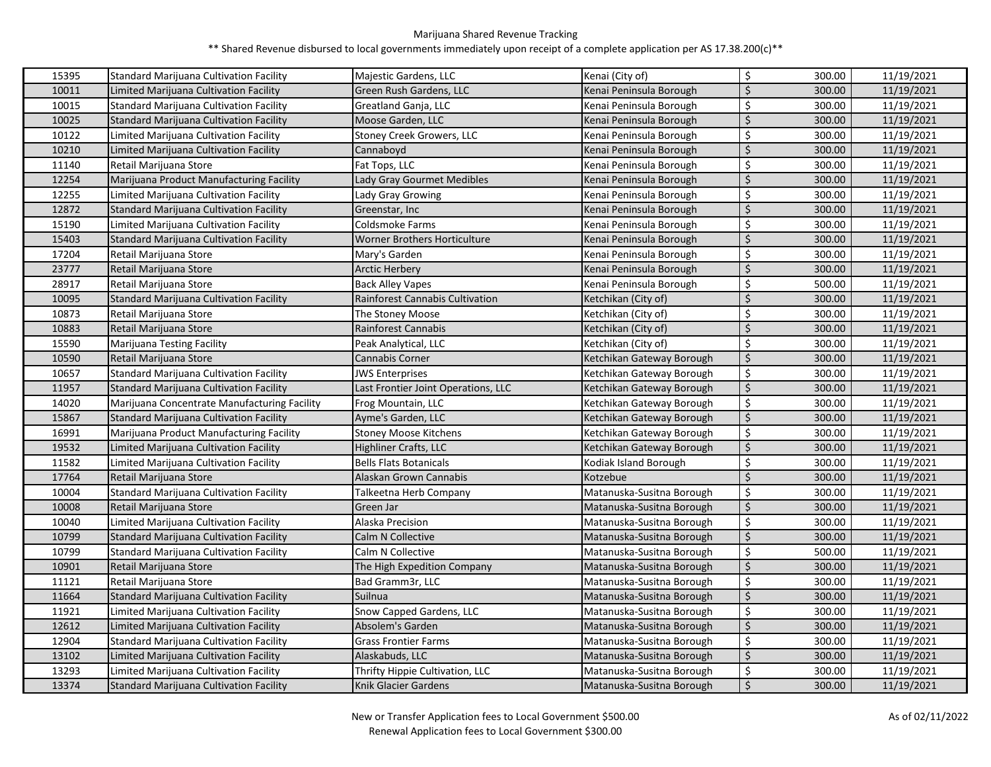| 15395 | Standard Marijuana Cultivation Facility        | Majestic Gardens, LLC                  | Kenai (City of)           | \$               | 300.00 | 11/19/2021 |
|-------|------------------------------------------------|----------------------------------------|---------------------------|------------------|--------|------------|
| 10011 | Limited Marijuana Cultivation Facility         | Green Rush Gardens, LLC                | Kenai Peninsula Borough   | \$               | 300.00 | 11/19/2021 |
| 10015 | Standard Marijuana Cultivation Facility        | Greatland Ganja, LLC                   | Kenai Peninsula Borough   | \$               | 300.00 | 11/19/2021 |
| 10025 | Standard Marijuana Cultivation Facility        | Moose Garden, LLC                      | Kenai Peninsula Borough   | \$               | 300.00 | 11/19/2021 |
| 10122 | Limited Marijuana Cultivation Facility         | <b>Stoney Creek Growers, LLC</b>       | Kenai Peninsula Borough   | \$               | 300.00 | 11/19/2021 |
| 10210 | Limited Marijuana Cultivation Facility         | Cannaboyd                              | Kenai Peninsula Borough   | $\zeta$          | 300.00 | 11/19/2021 |
| 11140 | Retail Marijuana Store                         | Fat Tops, LLC                          | Kenai Peninsula Borough   | \$               | 300.00 | 11/19/2021 |
| 12254 | Marijuana Product Manufacturing Facility       | Lady Gray Gourmet Medibles             | Kenai Peninsula Borough   | \$               | 300.00 | 11/19/2021 |
| 12255 | Limited Marijuana Cultivation Facility         | Lady Gray Growing                      | Kenai Peninsula Borough   | \$               | 300.00 | 11/19/2021 |
| 12872 | Standard Marijuana Cultivation Facility        | Greenstar, Inc                         | Kenai Peninsula Borough   | \$               | 300.00 | 11/19/2021 |
| 15190 | Limited Marijuana Cultivation Facility         | Coldsmoke Farms                        | Kenai Peninsula Borough   | \$               | 300.00 | 11/19/2021 |
| 15403 | Standard Marijuana Cultivation Facility        | <b>Worner Brothers Horticulture</b>    | Kenai Peninsula Borough   | \$               | 300.00 | 11/19/2021 |
| 17204 | Retail Marijuana Store                         | Mary's Garden                          | Kenai Peninsula Borough   | \$               | 300.00 | 11/19/2021 |
| 23777 | Retail Marijuana Store                         | <b>Arctic Herbery</b>                  | Kenai Peninsula Borough   | \$               | 300.00 | 11/19/2021 |
| 28917 | Retail Marijuana Store                         | Back Alley Vapes                       | Kenai Peninsula Borough   | \$               | 500.00 | 11/19/2021 |
| 10095 | Standard Marijuana Cultivation Facility        | <b>Rainforest Cannabis Cultivation</b> | Ketchikan (City of)       | \$               | 300.00 | 11/19/2021 |
| 10873 | Retail Marijuana Store                         | The Stoney Moose                       | Ketchikan (City of)       | \$               | 300.00 | 11/19/2021 |
| 10883 | Retail Marijuana Store                         | Rainforest Cannabis                    | Ketchikan (City of)       | $\zeta$          | 300.00 | 11/19/2021 |
| 15590 | Marijuana Testing Facility                     | Peak Analytical, LLC                   | Ketchikan (City of)       | \$               | 300.00 | 11/19/2021 |
| 10590 | Retail Marijuana Store                         | Cannabis Corner                        | Ketchikan Gateway Borough | \$               | 300.00 | 11/19/2021 |
| 10657 | Standard Marijuana Cultivation Facility        | <b>JWS Enterprises</b>                 | Ketchikan Gateway Borough | \$               | 300.00 | 11/19/2021 |
| 11957 | <b>Standard Marijuana Cultivation Facility</b> | Last Frontier Joint Operations, LLC    | Ketchikan Gateway Borough | $\overline{\xi}$ | 300.00 | 11/19/2021 |
| 14020 | Marijuana Concentrate Manufacturing Facility   | Frog Mountain, LLC                     | Ketchikan Gateway Borough | \$               | 300.00 | 11/19/2021 |
| 15867 | Standard Marijuana Cultivation Facility        | Ayme's Garden, LLC                     | Ketchikan Gateway Borough | \$               | 300.00 | 11/19/2021 |
| 16991 | Marijuana Product Manufacturing Facility       | <b>Stoney Moose Kitchens</b>           | Ketchikan Gateway Borough | \$               | 300.00 | 11/19/2021 |
| 19532 | Limited Marijuana Cultivation Facility         | Highliner Crafts, LLC                  | Ketchikan Gateway Borough | \$               | 300.00 | 11/19/2021 |
| 11582 | Limited Marijuana Cultivation Facility         | <b>Bells Flats Botanicals</b>          | Kodiak Island Borough     | \$               | 300.00 | 11/19/2021 |
| 17764 | Retail Marijuana Store                         | Alaskan Grown Cannabis                 | Kotzebue                  | $\zeta$          | 300.00 | 11/19/2021 |
| 10004 | Standard Marijuana Cultivation Facility        | Talkeetna Herb Company                 | Matanuska-Susitna Borough | \$               | 300.00 | 11/19/2021 |
| 10008 | Retail Marijuana Store                         | Green Jar                              | Matanuska-Susitna Borough | $\zeta$          | 300.00 | 11/19/2021 |
| 10040 | Limited Marijuana Cultivation Facility         | Alaska Precision                       | Matanuska-Susitna Borough | \$               | 300.00 | 11/19/2021 |
| 10799 | Standard Marijuana Cultivation Facility        | Calm N Collective                      | Matanuska-Susitna Borough | \$               | 300.00 | 11/19/2021 |
| 10799 | Standard Marijuana Cultivation Facility        | Calm N Collective                      | Matanuska-Susitna Borough | \$               | 500.00 | 11/19/2021 |
| 10901 | Retail Marijuana Store                         | The High Expedition Company            | Matanuska-Susitna Borough | \$               | 300.00 | 11/19/2021 |
| 11121 | Retail Marijuana Store                         | Bad Gramm3r, LLC                       | Matanuska-Susitna Borough | \$               | 300.00 | 11/19/2021 |
| 11664 | Standard Marijuana Cultivation Facility        | Suilnua                                | Matanuska-Susitna Borough | \$               | 300.00 | 11/19/2021 |
| 11921 | Limited Marijuana Cultivation Facility         | Snow Capped Gardens, LLC               | Matanuska-Susitna Borough | \$               | 300.00 | 11/19/2021 |
| 12612 | Limited Marijuana Cultivation Facility         | Absolem's Garden                       | Matanuska-Susitna Borough | \$               | 300.00 | 11/19/2021 |
| 12904 | Standard Marijuana Cultivation Facility        | <b>Grass Frontier Farms</b>            | Matanuska-Susitna Borough | \$               | 300.00 | 11/19/2021 |
| 13102 | Limited Marijuana Cultivation Facility         | Alaskabuds, LLC                        | Matanuska-Susitna Borough | \$               | 300.00 | 11/19/2021 |
| 13293 | Limited Marijuana Cultivation Facility         | Thrifty Hippie Cultivation, LLC        | Matanuska-Susitna Borough | \$               | 300.00 | 11/19/2021 |
| 13374 |                                                |                                        |                           |                  |        |            |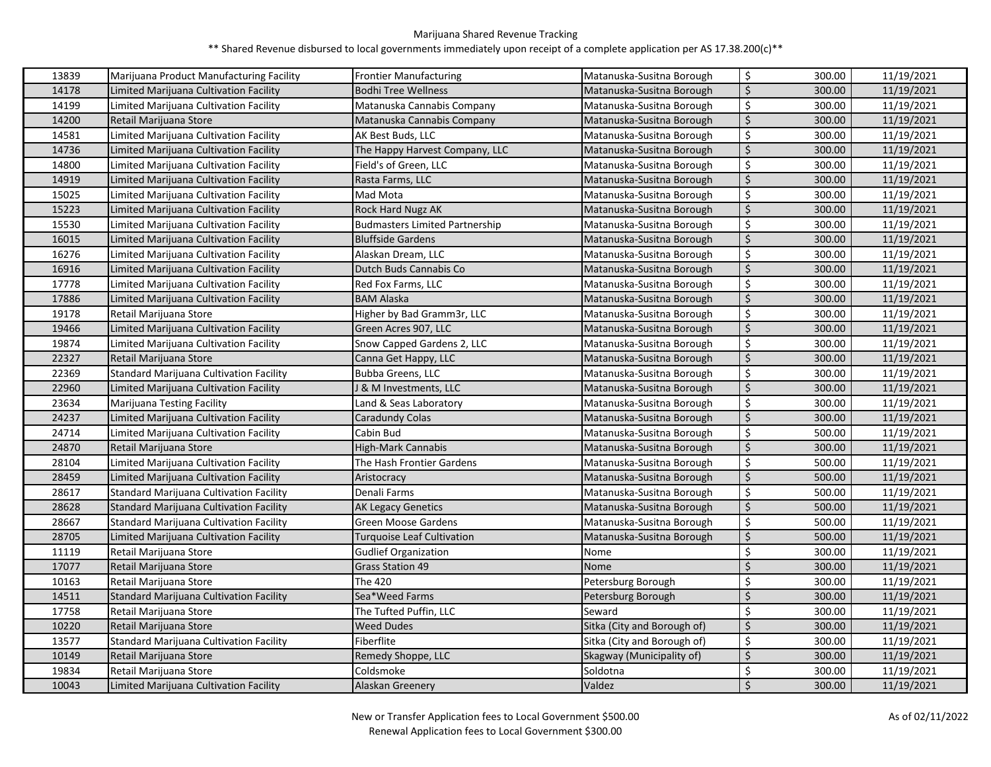| 13839 | Marijuana Product Manufacturing Facility       | <b>Frontier Manufacturing</b>         | Matanuska-Susitna Borough   | \$                             | 300.00 | 11/19/2021 |
|-------|------------------------------------------------|---------------------------------------|-----------------------------|--------------------------------|--------|------------|
| 14178 | Limited Marijuana Cultivation Facility         | Bodhi Tree Wellness                   | Matanuska-Susitna Borough   | $\zeta$                        | 300.00 | 11/19/2021 |
| 14199 | Limited Marijuana Cultivation Facility         | Matanuska Cannabis Company            | Matanuska-Susitna Borough   | $\zeta$                        | 300.00 | 11/19/2021 |
| 14200 | Retail Marijuana Store                         | Matanuska Cannabis Company            | Matanuska-Susitna Borough   | $\zeta$                        | 300.00 | 11/19/2021 |
| 14581 | Limited Marijuana Cultivation Facility         | AK Best Buds, LLC                     | Matanuska-Susitna Borough   | \$                             | 300.00 | 11/19/2021 |
| 14736 | Limited Marijuana Cultivation Facility         | The Happy Harvest Company, LLC        | Matanuska-Susitna Borough   | $\zeta$                        | 300.00 | 11/19/2021 |
| 14800 | Limited Marijuana Cultivation Facility         | Field's of Green, LLC                 | Matanuska-Susitna Borough   | $\zeta$                        | 300.00 | 11/19/2021 |
| 14919 | Limited Marijuana Cultivation Facility         | Rasta Farms, LLC                      | Matanuska-Susitna Borough   | $\zeta$                        | 300.00 | 11/19/2021 |
| 15025 | Limited Marijuana Cultivation Facility         | Mad Mota                              | Matanuska-Susitna Borough   | \$                             | 300.00 | 11/19/2021 |
| 15223 | Limited Marijuana Cultivation Facility         | Rock Hard Nugz AK                     | Matanuska-Susitna Borough   | $\boldsymbol{\dot{\varsigma}}$ | 300.00 | 11/19/2021 |
| 15530 | Limited Marijuana Cultivation Facility         | <b>Budmasters Limited Partnership</b> | Matanuska-Susitna Borough   | \$                             | 300.00 | 11/19/2021 |
| 16015 | Limited Marijuana Cultivation Facility         | <b>Bluffside Gardens</b>              | Matanuska-Susitna Borough   | $\zeta$                        | 300.00 | 11/19/2021 |
| 16276 | Limited Marijuana Cultivation Facility         | Alaskan Dream, LLC                    | Matanuska-Susitna Borough   | \$                             | 300.00 | 11/19/2021 |
| 16916 | Limited Marijuana Cultivation Facility         | Dutch Buds Cannabis Co                | Matanuska-Susitna Borough   | $\zeta$                        | 300.00 | 11/19/2021 |
| 17778 | Limited Marijuana Cultivation Facility         | Red Fox Farms, LLC                    | Matanuska-Susitna Borough   | $\zeta$                        | 300.00 | 11/19/2021 |
| 17886 | Limited Marijuana Cultivation Facility         | <b>BAM Alaska</b>                     | Matanuska-Susitna Borough   | $\zeta$                        | 300.00 | 11/19/2021 |
| 19178 | Retail Marijuana Store                         | Higher by Bad Gramm3r, LLC            | Matanuska-Susitna Borough   | $\zeta$                        | 300.00 | 11/19/2021 |
| 19466 | Limited Marijuana Cultivation Facility         | Green Acres 907, LLC                  | Matanuska-Susitna Borough   | \$                             | 300.00 | 11/19/2021 |
| 19874 | Limited Marijuana Cultivation Facility         | Snow Capped Gardens 2, LLC            | Matanuska-Susitna Borough   | \$                             | 300.00 | 11/19/2021 |
| 22327 | Retail Marijuana Store                         | Canna Get Happy, LLC                  | Matanuska-Susitna Borough   | $\zeta$                        | 300.00 | 11/19/2021 |
| 22369 | Standard Marijuana Cultivation Facility        | Bubba Greens, LLC                     | Matanuska-Susitna Borough   | \$                             | 300.00 | 11/19/2021 |
| 22960 | Limited Marijuana Cultivation Facility         | & M Investments, LLC                  | Matanuska-Susitna Borough   | $\overline{\mathbf{S}}$        | 300.00 | 11/19/2021 |
| 23634 | Marijuana Testing Facility                     | Land & Seas Laboratory                | Matanuska-Susitna Borough   | \$                             | 300.00 | 11/19/2021 |
| 24237 | Limited Marijuana Cultivation Facility         | Caradundy Colas                       | Matanuska-Susitna Borough   | $\boldsymbol{\dot{\varsigma}}$ | 300.00 | 11/19/2021 |
| 24714 | Limited Marijuana Cultivation Facility         | Cabin Bud                             | Matanuska-Susitna Borough   | $\zeta$                        | 500.00 | 11/19/2021 |
| 24870 | Retail Marijuana Store                         | High-Mark Cannabis                    | Matanuska-Susitna Borough   | $\zeta$                        | 300.00 | 11/19/2021 |
| 28104 | Limited Marijuana Cultivation Facility         | The Hash Frontier Gardens             | Matanuska-Susitna Borough   | \$                             | 500.00 | 11/19/2021 |
| 28459 | Limited Marijuana Cultivation Facility         | Aristocracy                           | Matanuska-Susitna Borough   | $\zeta$                        | 500.00 | 11/19/2021 |
| 28617 | Standard Marijuana Cultivation Facility        | Denali Farms                          | Matanuska-Susitna Borough   | \$                             | 500.00 | 11/19/2021 |
| 28628 | Standard Marijuana Cultivation Facility        | AK Legacy Genetics                    | Matanuska-Susitna Borough   | $\zeta$                        | 500.00 | 11/19/2021 |
| 28667 | Standard Marijuana Cultivation Facility        | Green Moose Gardens                   | Matanuska-Susitna Borough   | $\zeta$                        | 500.00 | 11/19/2021 |
| 28705 | Limited Marijuana Cultivation Facility         | Turquoise Leaf Cultivation            | Matanuska-Susitna Borough   | \$                             | 500.00 | 11/19/2021 |
| 11119 | Retail Marijuana Store                         | <b>Gudlief Organization</b>           | Nome                        | \$                             | 300.00 | 11/19/2021 |
| 17077 | Retail Marijuana Store                         | Grass Station 49                      | Nome                        | $\zeta$                        | 300.00 | 11/19/2021 |
| 10163 | Retail Marijuana Store                         | The 420                               | Petersburg Borough          | \$                             | 300.00 | 11/19/2021 |
| 14511 | Standard Marijuana Cultivation Facility        | Sea*Weed Farms                        | Petersburg Borough          | $\zeta$                        | 300.00 | 11/19/2021 |
| 17758 | Retail Marijuana Store                         | The Tufted Puffin, LLC                | Seward                      | $\boldsymbol{\dot{\varsigma}}$ | 300.00 | 11/19/2021 |
| 10220 | Retail Marijuana Store                         | <b>Weed Dudes</b>                     | Sitka (City and Borough of) | $\overline{\xi}$               | 300.00 | 11/19/2021 |
| 13577 | <b>Standard Marijuana Cultivation Facility</b> | Fiberflite                            | Sitka (City and Borough of) | $\zeta$                        | 300.00 | 11/19/2021 |
| 10149 | Retail Marijuana Store                         | Remedy Shoppe, LLC                    | Skagway (Municipality of)   | $\zeta$                        | 300.00 | 11/19/2021 |
| 19834 | Retail Marijuana Store                         | Coldsmoke                             | Soldotna                    | \$                             | 300.00 | 11/19/2021 |
| 10043 | Limited Marijuana Cultivation Facility         | Alaskan Greenery                      | Valdez                      | $\zeta$                        | 300.00 | 11/19/2021 |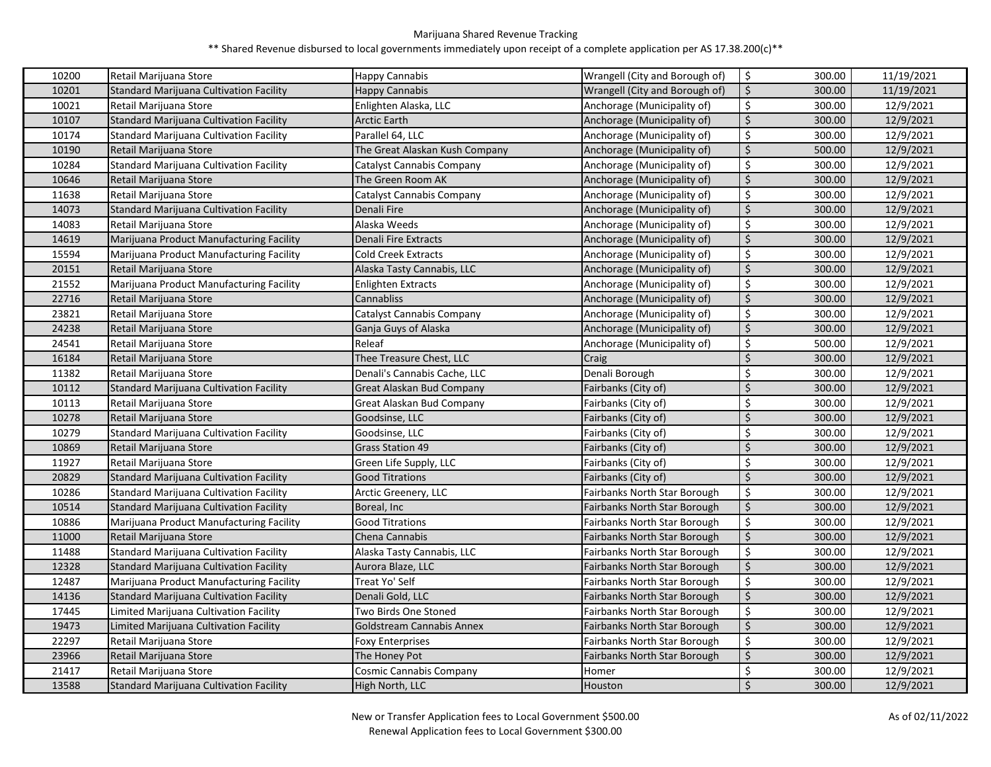| 10200 | Retail Marijuana Store                         | Happy Cannabis                 | Wrangell (City and Borough of)      | \$                             | 300.00 | 11/19/2021 |
|-------|------------------------------------------------|--------------------------------|-------------------------------------|--------------------------------|--------|------------|
| 10201 | Standard Marijuana Cultivation Facility        | Happy Cannabis                 | Wrangell (City and Borough of)      | $\zeta$                        | 300.00 | 11/19/2021 |
| 10021 | Retail Marijuana Store                         | Enlighten Alaska, LLC          | Anchorage (Municipality of)         | \$                             | 300.00 | 12/9/2021  |
| 10107 | Standard Marijuana Cultivation Facility        | <b>Arctic Earth</b>            | Anchorage (Municipality of)         | \$                             | 300.00 | 12/9/2021  |
| 10174 | <b>Standard Marijuana Cultivation Facility</b> | Parallel 64, LLC               | Anchorage (Municipality of)         | \$                             | 300.00 | 12/9/2021  |
| 10190 | Retail Marijuana Store                         | The Great Alaskan Kush Company | Anchorage (Municipality of)         | $\zeta$                        | 500.00 | 12/9/2021  |
| 10284 | <b>Standard Marijuana Cultivation Facility</b> | Catalyst Cannabis Company      | Anchorage (Municipality of)         | \$                             | 300.00 | 12/9/2021  |
| 10646 | Retail Marijuana Store                         | The Green Room AK              | Anchorage (Municipality of)         | $\zeta$                        | 300.00 | 12/9/2021  |
| 11638 | Retail Marijuana Store                         | Catalyst Cannabis Company      | Anchorage (Municipality of)         | \$                             | 300.00 | 12/9/2021  |
| 14073 | Standard Marijuana Cultivation Facility        | Denali Fire                    | Anchorage (Municipality of)         | $\boldsymbol{\dot{\varsigma}}$ | 300.00 | 12/9/2021  |
| 14083 | Retail Marijuana Store                         | Alaska Weeds                   | Anchorage (Municipality of)         | \$                             | 300.00 | 12/9/2021  |
| 14619 | Marijuana Product Manufacturing Facility       | Denali Fire Extracts           | Anchorage (Municipality of)         | $\zeta$                        | 300.00 | 12/9/2021  |
| 15594 | Marijuana Product Manufacturing Facility       | Cold Creek Extracts            | Anchorage (Municipality of)         | \$                             | 300.00 | 12/9/2021  |
| 20151 | Retail Marijuana Store                         | Alaska Tasty Cannabis, LLC     | Anchorage (Municipality of)         | \$                             | 300.00 | 12/9/2021  |
| 21552 | Marijuana Product Manufacturing Facility       | Enlighten Extracts             | Anchorage (Municipality of)         | \$                             | 300.00 | 12/9/2021  |
| 22716 | Retail Marijuana Store                         | Cannabliss                     | Anchorage (Municipality of)         | \$                             | 300.00 | 12/9/2021  |
| 23821 | Retail Marijuana Store                         | Catalyst Cannabis Company      | Anchorage (Municipality of)         | \$                             | 300.00 | 12/9/2021  |
| 24238 | Retail Marijuana Store                         | Ganja Guys of Alaska           | Anchorage (Municipality of)         | $\zeta$                        | 300.00 | 12/9/2021  |
| 24541 | Retail Marijuana Store                         | Releaf                         | Anchorage (Municipality of)         | \$                             | 500.00 | 12/9/2021  |
| 16184 | Retail Marijuana Store                         | Thee Treasure Chest, LLC       | Craig                               | \$                             | 300.00 | 12/9/2021  |
| 11382 | Retail Marijuana Store                         | Denali's Cannabis Cache, LLC   | Denali Borough                      | \$                             | 300.00 | 12/9/2021  |
| 10112 | <b>Standard Marijuana Cultivation Facility</b> | Great Alaskan Bud Company      | Fairbanks (City of)                 | $\zeta$                        | 300.00 | 12/9/2021  |
| 10113 | Retail Marijuana Store                         | Great Alaskan Bud Company      | Fairbanks (City of)                 | \$                             | 300.00 | 12/9/2021  |
| 10278 | Retail Marijuana Store                         | Goodsinse, LLC                 | Fairbanks (City of)                 | $\zeta$                        | 300.00 | 12/9/2021  |
| 10279 | <b>Standard Marijuana Cultivation Facility</b> | Goodsinse, LLC                 | Fairbanks (City of)                 | \$                             | 300.00 | 12/9/2021  |
| 10869 | Retail Marijuana Store                         | Grass Station 49               | Fairbanks (City of)                 | $\zeta$                        | 300.00 | 12/9/2021  |
| 11927 | Retail Marijuana Store                         | Green Life Supply, LLC         | Fairbanks (City of)                 | \$                             | 300.00 | 12/9/2021  |
| 20829 | Standard Marijuana Cultivation Facility        | Good Titrations                | Fairbanks (City of)                 | $\zeta$                        | 300.00 | 12/9/2021  |
| 10286 | <b>Standard Marijuana Cultivation Facility</b> | Arctic Greenery, LLC           | Fairbanks North Star Borough        | \$                             | 300.00 | 12/9/2021  |
| 10514 | Standard Marijuana Cultivation Facility        | Boreal, Inc                    | Fairbanks North Star Borough        | $\zeta$                        | 300.00 | 12/9/2021  |
| 10886 | Marijuana Product Manufacturing Facility       | Good Titrations                | Fairbanks North Star Borough        | \$                             | 300.00 | 12/9/2021  |
| 11000 | Retail Marijuana Store                         | Chena Cannabis                 | <b>Fairbanks North Star Borough</b> | $\zeta$                        | 300.00 | 12/9/2021  |
| 11488 | <b>Standard Marijuana Cultivation Facility</b> | Alaska Tasty Cannabis, LLC     | <b>Fairbanks North Star Borough</b> | \$                             | 300.00 | 12/9/2021  |
| 12328 | Standard Marijuana Cultivation Facility        | Aurora Blaze, LLC              | Fairbanks North Star Borough        | $\zeta$                        | 300.00 | 12/9/2021  |
| 12487 | Marijuana Product Manufacturing Facility       | Treat Yo' Self                 | Fairbanks North Star Borough        | \$                             | 300.00 | 12/9/2021  |
| 14136 | Standard Marijuana Cultivation Facility        | Denali Gold, LLC               | Fairbanks North Star Borough        | \$                             | 300.00 | 12/9/2021  |
| 17445 | Limited Marijuana Cultivation Facility         | Two Birds One Stoned           | Fairbanks North Star Borough        | \$                             | 300.00 | 12/9/2021  |
| 19473 | Limited Marijuana Cultivation Facility         | Goldstream Cannabis Annex      | <b>Fairbanks North Star Borough</b> | \$                             | 300.00 | 12/9/2021  |
| 22297 | Retail Marijuana Store                         | <b>Foxy Enterprises</b>        | Fairbanks North Star Borough        | \$                             | 300.00 | 12/9/2021  |
| 23966 | Retail Marijuana Store                         | The Honey Pot                  | Fairbanks North Star Borough        | \$                             | 300.00 | 12/9/2021  |
| 21417 | Retail Marijuana Store                         | Cosmic Cannabis Company        | Homer                               | \$                             | 300.00 | 12/9/2021  |
| 13588 | <b>Standard Marijuana Cultivation Facility</b> | High North, LLC                | Houston                             | $\zeta$                        | 300.00 | 12/9/2021  |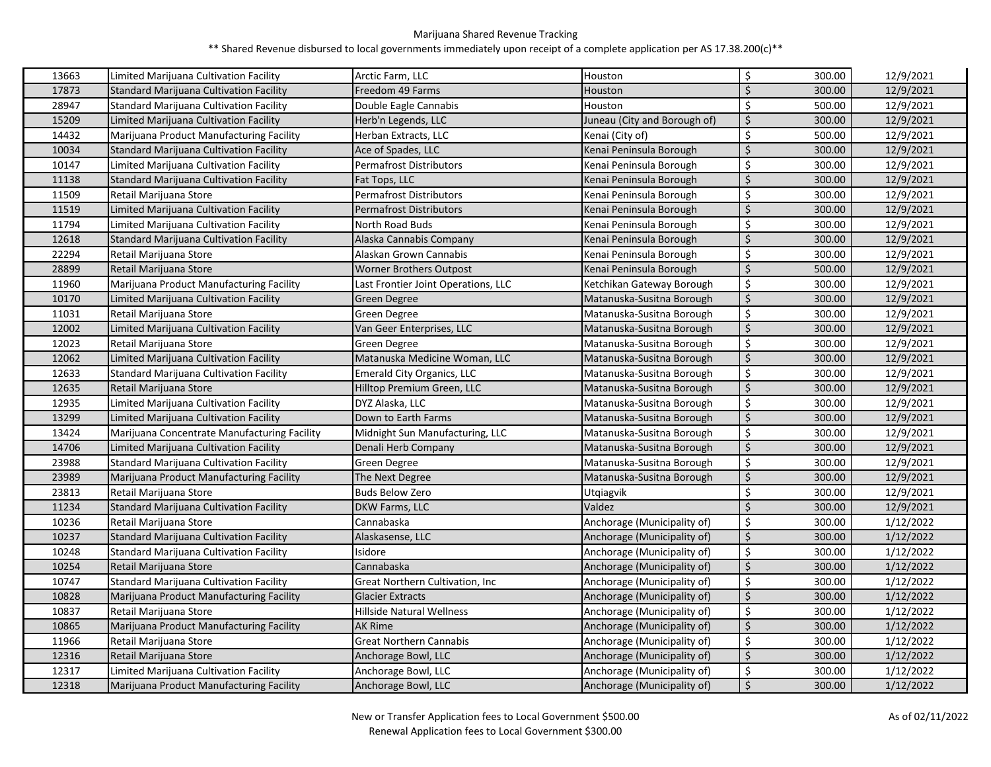| 13663 | Limited Marijuana Cultivation Facility         | Arctic Farm, LLC                    | Houston                      | \$                 | 300.00 | 12/9/2021 |
|-------|------------------------------------------------|-------------------------------------|------------------------------|--------------------|--------|-----------|
| 17873 | Standard Marijuana Cultivation Facility        | Freedom 49 Farms                    | Houston                      | $\zeta$            | 300.00 | 12/9/2021 |
| 28947 | <b>Standard Marijuana Cultivation Facility</b> | Double Eagle Cannabis               | Houston                      | $\dot{\mathsf{S}}$ | 500.00 | 12/9/2021 |
| 15209 | Limited Marijuana Cultivation Facility         | Herb'n Legends, LLC                 | Juneau (City and Borough of) | $\zeta$            | 300.00 | 12/9/2021 |
| 14432 | Marijuana Product Manufacturing Facility       | Herban Extracts, LLC                | Kenai (City of)              | \$                 | 500.00 | 12/9/2021 |
| 10034 | Standard Marijuana Cultivation Facility        | Ace of Spades, LLC                  | Kenai Peninsula Borough      | $\zeta$            | 300.00 | 12/9/2021 |
| 10147 | Limited Marijuana Cultivation Facility         | <b>Permafrost Distributors</b>      | Kenai Peninsula Borough      | \$                 | 300.00 | 12/9/2021 |
| 11138 | Standard Marijuana Cultivation Facility        | Fat Tops, LLC                       | Kenai Peninsula Borough      | Ś.                 | 300.00 | 12/9/2021 |
| 11509 | Retail Marijuana Store                         | <b>Permafrost Distributors</b>      | Kenai Peninsula Borough      | \$                 | 300.00 | 12/9/2021 |
| 11519 | Limited Marijuana Cultivation Facility         | <b>Permafrost Distributors</b>      | Kenai Peninsula Borough      | $\zeta$            | 300.00 | 12/9/2021 |
| 11794 | Limited Marijuana Cultivation Facility         | North Road Buds                     | Kenai Peninsula Borough      | \$                 | 300.00 | 12/9/2021 |
| 12618 | Standard Marijuana Cultivation Facility        | Alaska Cannabis Company             | Kenai Peninsula Borough      | $\mathsf{\dot{S}}$ | 300.00 | 12/9/2021 |
| 22294 | Retail Marijuana Store                         | Alaskan Grown Cannabis              | Kenai Peninsula Borough      | \$                 | 300.00 | 12/9/2021 |
| 28899 | Retail Marijuana Store                         | <b>Worner Brothers Outpost</b>      | Kenai Peninsula Borough      | Ś.                 | 500.00 | 12/9/2021 |
| 11960 | Marijuana Product Manufacturing Facility       | Last Frontier Joint Operations, LLC | Ketchikan Gateway Borough    | $\zeta$            | 300.00 | 12/9/2021 |
| 10170 | Limited Marijuana Cultivation Facility         | Green Degree                        | Matanuska-Susitna Borough    | Ś                  | 300.00 | 12/9/2021 |
| 11031 | Retail Marijuana Store                         | Green Degree                        | Matanuska-Susitna Borough    | $\zeta$            | 300.00 | 12/9/2021 |
| 12002 | Limited Marijuana Cultivation Facility         | Van Geer Enterprises, LLC           | Matanuska-Susitna Borough    | $\zeta$            | 300.00 | 12/9/2021 |
| 12023 | Retail Marijuana Store                         | Green Degree                        | Matanuska-Susitna Borough    | \$                 | 300.00 | 12/9/2021 |
| 12062 | Limited Marijuana Cultivation Facility         | Matanuska Medicine Woman, LLC       | Matanuska-Susitna Borough    | \$                 | 300.00 | 12/9/2021 |
| 12633 | Standard Marijuana Cultivation Facility        | <b>Emerald City Organics, LLC</b>   | Matanuska-Susitna Borough    | $\zeta$            | 300.00 | 12/9/2021 |
| 12635 | Retail Marijuana Store                         | Hilltop Premium Green, LLC          | Matanuska-Susitna Borough    | $\zeta$            | 300.00 | 12/9/2021 |
| 12935 | Limited Marijuana Cultivation Facility         | DYZ Alaska, LLC                     | Matanuska-Susitna Borough    | \$                 | 300.00 | 12/9/2021 |
| 13299 | Limited Marijuana Cultivation Facility         | Down to Earth Farms                 | Matanuska-Susitna Borough    | $\zeta$            | 300.00 | 12/9/2021 |
| 13424 | Marijuana Concentrate Manufacturing Facility   | Midnight Sun Manufacturing, LLC     | Matanuska-Susitna Borough    | \$                 | 300.00 | 12/9/2021 |
| 14706 | Limited Marijuana Cultivation Facility         | Denali Herb Company                 | Matanuska-Susitna Borough    | $\zeta$            | 300.00 | 12/9/2021 |
| 23988 | Standard Marijuana Cultivation Facility        | Green Degree                        | Matanuska-Susitna Borough    | \$                 | 300.00 | 12/9/2021 |
| 23989 | Marijuana Product Manufacturing Facility       | The Next Degree                     | Matanuska-Susitna Borough    | $\zeta$            | 300.00 | 12/9/2021 |
| 23813 | Retail Marijuana Store                         | <b>Buds Below Zero</b>              | Utqiagvik                    | \$                 | 300.00 | 12/9/2021 |
| 11234 | Standard Marijuana Cultivation Facility        | DKW Farms, LLC                      | Valdez                       | $\zeta$            | 300.00 | 12/9/2021 |
| 10236 | Retail Marijuana Store                         | Cannabaska                          | Anchorage (Municipality of)  | \$                 | 300.00 | 1/12/2022 |
| 10237 | Standard Marijuana Cultivation Facility        | Alaskasense, LLC                    | Anchorage (Municipality of)  | $\zeta$            | 300.00 | 1/12/2022 |
| 10248 | Standard Marijuana Cultivation Facility        | Isidore                             | Anchorage (Municipality of)  | \$                 | 300.00 | 1/12/2022 |
| 10254 | Retail Marijuana Store                         | Cannabaska                          | Anchorage (Municipality of)  | $\zeta$            | 300.00 | 1/12/2022 |
| 10747 | <b>Standard Marijuana Cultivation Facility</b> | Great Northern Cultivation, Inc.    | Anchorage (Municipality of)  | $\zeta$            | 300.00 | 1/12/2022 |
| 10828 | Marijuana Product Manufacturing Facility       | <b>Glacier Extracts</b>             | Anchorage (Municipality of)  | $\zeta$            | 300.00 | 1/12/2022 |
| 10837 | Retail Marijuana Store                         | Hillside Natural Wellness           | Anchorage (Municipality of)  | $\zeta$            | 300.00 | 1/12/2022 |
| 10865 | Marijuana Product Manufacturing Facility       | <b>AK Rime</b>                      | Anchorage (Municipality of)  | \$                 | 300.00 | 1/12/2022 |
| 11966 | Retail Marijuana Store                         | <b>Great Northern Cannabis</b>      | Anchorage (Municipality of)  | $\zeta$            | 300.00 | 1/12/2022 |
| 12316 | Retail Marijuana Store                         | Anchorage Bowl, LLC                 | Anchorage (Municipality of)  | $\zeta$            | 300.00 | 1/12/2022 |
| 12317 | Limited Marijuana Cultivation Facility         | Anchorage Bowl, LLC                 | Anchorage (Municipality of)  | \$                 | 300.00 | 1/12/2022 |
| 12318 | Marijuana Product Manufacturing Facility       | Anchorage Bowl, LLC                 | Anchorage (Municipality of)  | $\zeta$            | 300.00 | 1/12/2022 |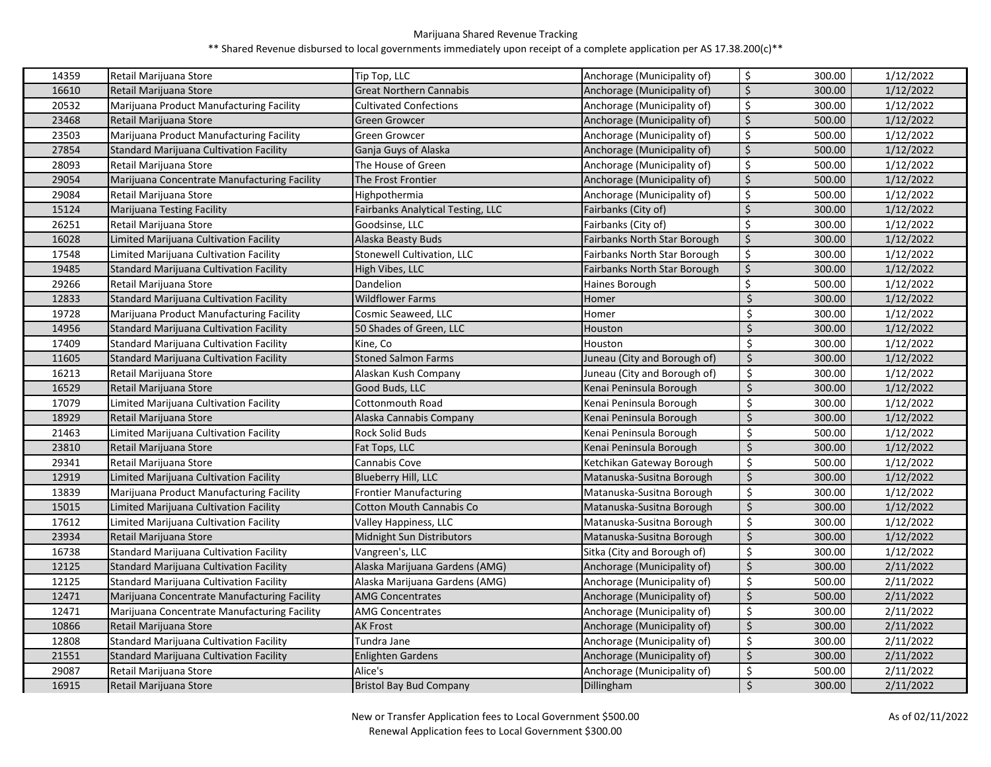| 14359 | Retail Marijuana Store                         | Tip Top, LLC                      | Anchorage (Municipality of)  | \$               | 300.00 | 1/12/2022 |
|-------|------------------------------------------------|-----------------------------------|------------------------------|------------------|--------|-----------|
| 16610 | Retail Marijuana Store                         | <b>Great Northern Cannabis</b>    | Anchorage (Municipality of)  | $\zeta$          | 300.00 | 1/12/2022 |
| 20532 | Marijuana Product Manufacturing Facility       | <b>Cultivated Confections</b>     | Anchorage (Municipality of)  | \$               | 300.00 | 1/12/2022 |
| 23468 | Retail Marijuana Store                         | Green Growcer                     | Anchorage (Municipality of)  | $\zeta$          | 500.00 | 1/12/2022 |
| 23503 | Marijuana Product Manufacturing Facility       | Green Growcer                     | Anchorage (Municipality of)  | \$               | 500.00 | 1/12/2022 |
| 27854 | Standard Marijuana Cultivation Facility        | Ganja Guys of Alaska              | Anchorage (Municipality of)  | \$               | 500.00 | 1/12/2022 |
| 28093 | Retail Marijuana Store                         | The House of Green                | Anchorage (Municipality of)  | \$               | 500.00 | 1/12/2022 |
| 29054 | Marijuana Concentrate Manufacturing Facility   | The Frost Frontier                | Anchorage (Municipality of)  | $\zeta$          | 500.00 | 1/12/2022 |
| 29084 | Retail Marijuana Store                         | Highpothermia                     | Anchorage (Municipality of)  | \$               | 500.00 | 1/12/2022 |
| 15124 | <b>Marijuana Testing Facility</b>              | Fairbanks Analytical Testing, LLC | Fairbanks (City of)          | $\zeta$          | 300.00 | 1/12/2022 |
| 26251 | Retail Marijuana Store                         | Goodsinse, LLC                    | Fairbanks (City of)          | \$               | 300.00 | 1/12/2022 |
| 16028 | Limited Marijuana Cultivation Facility         | Alaska Beasty Buds                | Fairbanks North Star Borough | \$               | 300.00 | 1/12/2022 |
| 17548 | Limited Marijuana Cultivation Facility         | Stonewell Cultivation, LLC        | Fairbanks North Star Borough | \$               | 300.00 | 1/12/2022 |
| 19485 | <b>Standard Marijuana Cultivation Facility</b> | High Vibes, LLC                   | Fairbanks North Star Borough | $\zeta$          | 300.00 | 1/12/2022 |
| 29266 | Retail Marijuana Store                         | Dandelion                         | Haines Borough               | \$               | 500.00 | 1/12/2022 |
| 12833 | Standard Marijuana Cultivation Facility        | <b>Wildflower Farms</b>           | Homer                        | \$               | 300.00 | 1/12/2022 |
| 19728 | Marijuana Product Manufacturing Facility       | Cosmic Seaweed, LLC               | Homer                        | \$               | 300.00 | 1/12/2022 |
| 14956 | <b>Standard Marijuana Cultivation Facility</b> | 50 Shades of Green, LLC           | Houston                      | Ś                | 300.00 | 1/12/2022 |
| 17409 | Standard Marijuana Cultivation Facility        | Kine, Co                          | Houston                      | \$               | 300.00 | 1/12/2022 |
| 11605 | Standard Marijuana Cultivation Facility        | <b>Stoned Salmon Farms</b>        | Juneau (City and Borough of) | \$               | 300.00 | 1/12/2022 |
| 16213 | Retail Marijuana Store                         | Alaskan Kush Company              | Juneau (City and Borough of) | \$               | 300.00 | 1/12/2022 |
| 16529 | Retail Marijuana Store                         | Good Buds, LLC                    | Kenai Peninsula Borough      | Ś                | 300.00 | 1/12/2022 |
| 17079 | Limited Marijuana Cultivation Facility         | Cottonmouth Road                  | Kenai Peninsula Borough      | \$               | 300.00 | 1/12/2022 |
| 18929 | Retail Marijuana Store                         | Alaska Cannabis Company           | Kenai Peninsula Borough      | Ś                | 300.00 | 1/12/2022 |
| 21463 | Limited Marijuana Cultivation Facility         | <b>Rock Solid Buds</b>            | Kenai Peninsula Borough      | Ś                | 500.00 | 1/12/2022 |
| 23810 | Retail Marijuana Store                         | Fat Tops, LLC                     | Kenai Peninsula Borough      | Ś                | 300.00 | 1/12/2022 |
| 29341 | Retail Marijuana Store                         | Cannabis Cove                     | Ketchikan Gateway Borough    | \$               | 500.00 | 1/12/2022 |
| 12919 | Limited Marijuana Cultivation Facility         | Blueberry Hill, LLC               | Matanuska-Susitna Borough    | \$               | 300.00 | 1/12/2022 |
| 13839 | Marijuana Product Manufacturing Facility       | Frontier Manufacturing            | Matanuska-Susitna Borough    | \$               | 300.00 | 1/12/2022 |
| 15015 | Limited Marijuana Cultivation Facility         | <b>Cotton Mouth Cannabis Co</b>   | Matanuska-Susitna Borough    | \$               | 300.00 | 1/12/2022 |
| 17612 | Limited Marijuana Cultivation Facility         | Valley Happiness, LLC             | Matanuska-Susitna Borough    | \$               | 300.00 | 1/12/2022 |
| 23934 | Retail Marijuana Store                         | Midnight Sun Distributors         | Matanuska-Susitna Borough    | \$               | 300.00 | 1/12/2022 |
| 16738 | Standard Marijuana Cultivation Facility        | Vangreen's, LLC                   | Sitka (City and Borough of)  | \$               | 300.00 | 1/12/2022 |
| 12125 | <b>Standard Marijuana Cultivation Facility</b> | Alaska Marijuana Gardens (AMG)    | Anchorage (Municipality of)  | Ś                | 300.00 | 2/11/2022 |
| 12125 | Standard Marijuana Cultivation Facility        | Alaska Marijuana Gardens (AMG)    | Anchorage (Municipality of)  | \$               | 500.00 | 2/11/2022 |
| 12471 | Marijuana Concentrate Manufacturing Facility   | <b>AMG Concentrates</b>           | Anchorage (Municipality of)  | \$               | 500.00 | 2/11/2022 |
| 12471 | Marijuana Concentrate Manufacturing Facility   | AMG Concentrates                  | Anchorage (Municipality of)  | \$               | 300.00 | 2/11/2022 |
| 10866 | Retail Marijuana Store                         | AK Frost                          | Anchorage (Municipality of)  | Ś                | 300.00 | 2/11/2022 |
| 12808 | <b>Standard Marijuana Cultivation Facility</b> | Tundra Jane                       | Anchorage (Municipality of)  | $\overline{\xi}$ | 300.00 | 2/11/2022 |
| 21551 | <b>Standard Marijuana Cultivation Facility</b> | <b>Enlighten Gardens</b>          | Anchorage (Municipality of)  | Ś                | 300.00 | 2/11/2022 |
| 29087 | Retail Marijuana Store                         | Alice's                           | Anchorage (Municipality of)  | \$               | 500.00 | 2/11/2022 |
| 16915 | Retail Marijuana Store                         | <b>Bristol Bay Bud Company</b>    | Dillingham                   | $\zeta$          | 300.00 | 2/11/2022 |